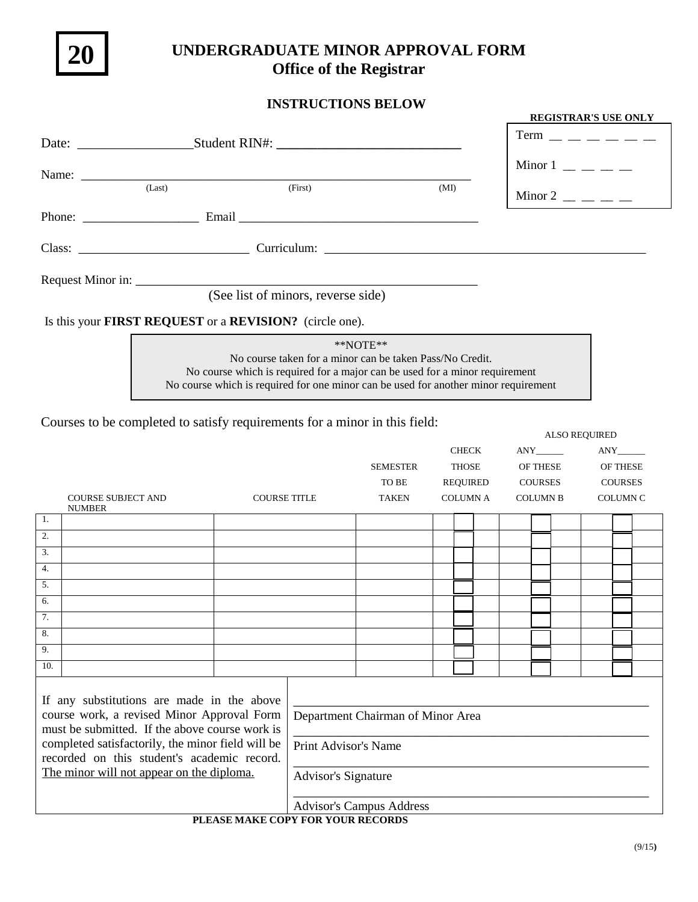

## **UNDERGRADUATE MINOR APPROVAL FORM Office of the Registrar**

## **INSTRUCTIONS BELOW**

|                                                                                                                                                                    |                                                                                                                                                                                                                                |      | <b>REGISTRAR'S USE ONLY</b>                       |  |  |  |  |
|--------------------------------------------------------------------------------------------------------------------------------------------------------------------|--------------------------------------------------------------------------------------------------------------------------------------------------------------------------------------------------------------------------------|------|---------------------------------------------------|--|--|--|--|
|                                                                                                                                                                    | Date: ___________________________Student RIN#: _________________________________                                                                                                                                               |      | <b>Term</b>                                       |  |  |  |  |
|                                                                                                                                                                    | Name:                                                                                                                                                                                                                          |      | Minor $1 \_$ $\_$                                 |  |  |  |  |
| (Last)                                                                                                                                                             | (First)                                                                                                                                                                                                                        | (MI) | Minor 2 $\frac{1}{2}$ $\frac{1}{2}$ $\frac{1}{2}$ |  |  |  |  |
|                                                                                                                                                                    | Phone: Email Email Email Email Email Email Email Email Email Email Email Email Email Email Email Email Email Email Email Email Email Email Email Email Email Email Email Email Email Email Email Email Email Email Email Email |      |                                                   |  |  |  |  |
|                                                                                                                                                                    |                                                                                                                                                                                                                                |      |                                                   |  |  |  |  |
|                                                                                                                                                                    |                                                                                                                                                                                                                                |      |                                                   |  |  |  |  |
|                                                                                                                                                                    | (See list of minors, reverse side)                                                                                                                                                                                             |      |                                                   |  |  |  |  |
|                                                                                                                                                                    | Is this your <b>FIRST REQUEST</b> or a <b>REVISION?</b> (circle one).                                                                                                                                                          |      |                                                   |  |  |  |  |
| $*$ NOTE $**$                                                                                                                                                      |                                                                                                                                                                                                                                |      |                                                   |  |  |  |  |
| No course taken for a minor can be taken Pass/No Credit.                                                                                                           |                                                                                                                                                                                                                                |      |                                                   |  |  |  |  |
| No course which is required for a major can be used for a minor requirement<br>No course which is required for one minor can be used for another minor requirement |                                                                                                                                                                                                                                |      |                                                   |  |  |  |  |
|                                                                                                                                                                    | Courses to be completed to satisfy requirements for a minor in this field:                                                                                                                                                     |      |                                                   |  |  |  |  |

|                                                                                                  |                           |                     |                                   |                 |  |                 |                 | ALSO REQUIRED   |  |
|--------------------------------------------------------------------------------------------------|---------------------------|---------------------|-----------------------------------|-----------------|--|-----------------|-----------------|-----------------|--|
|                                                                                                  |                           |                     |                                   |                 |  | <b>CHECK</b>    |                 | ANY             |  |
|                                                                                                  |                           |                     |                                   | <b>SEMESTER</b> |  | <b>THOSE</b>    | OF THESE        | OF THESE        |  |
|                                                                                                  |                           |                     |                                   | TO BE           |  | <b>REQUIRED</b> | COURSES         | <b>COURSES</b>  |  |
|                                                                                                  | <b>COURSE SUBJECT AND</b> | <b>COURSE TITLE</b> |                                   | <b>TAKEN</b>    |  | <b>COLUMN A</b> | <b>COLUMN B</b> | <b>COLUMN C</b> |  |
|                                                                                                  | <b>NUMBER</b>             |                     |                                   |                 |  |                 |                 |                 |  |
| 1.                                                                                               |                           |                     |                                   |                 |  |                 |                 |                 |  |
| 2.                                                                                               |                           |                     |                                   |                 |  |                 |                 |                 |  |
| 3.                                                                                               |                           |                     |                                   |                 |  |                 |                 |                 |  |
| 4.                                                                                               |                           |                     |                                   |                 |  |                 |                 |                 |  |
| 5.                                                                                               |                           |                     |                                   |                 |  |                 |                 |                 |  |
| 6.                                                                                               |                           |                     |                                   |                 |  |                 |                 |                 |  |
| 7.                                                                                               |                           |                     |                                   |                 |  |                 |                 |                 |  |
| 8.                                                                                               |                           |                     |                                   |                 |  |                 |                 |                 |  |
| 9.                                                                                               |                           |                     |                                   |                 |  |                 |                 |                 |  |
| 10.                                                                                              |                           |                     |                                   |                 |  |                 |                 |                 |  |
|                                                                                                  |                           |                     |                                   |                 |  |                 |                 |                 |  |
|                                                                                                  |                           |                     |                                   |                 |  |                 |                 |                 |  |
| If any substitutions are made in the above                                                       |                           |                     |                                   |                 |  |                 |                 |                 |  |
| course work, a revised Minor Approval Form                                                       |                           |                     | Department Chairman of Minor Area |                 |  |                 |                 |                 |  |
| must be submitted. If the above course work is                                                   |                           |                     |                                   |                 |  |                 |                 |                 |  |
| completed satisfactorily, the minor field will be<br>recorded on this student's academic record. |                           |                     | Print Advisor's Name              |                 |  |                 |                 |                 |  |
|                                                                                                  |                           |                     |                                   |                 |  |                 |                 |                 |  |
| The minor will not appear on the diploma.                                                        |                           |                     | <b>Advisor's Signature</b>        |                 |  |                 |                 |                 |  |
|                                                                                                  |                           |                     |                                   |                 |  |                 |                 |                 |  |
| <b>Advisor's Campus Address</b>                                                                  |                           |                     |                                   |                 |  |                 |                 |                 |  |

## **PLEASE MAKE COPY FOR YOUR RECORDS**